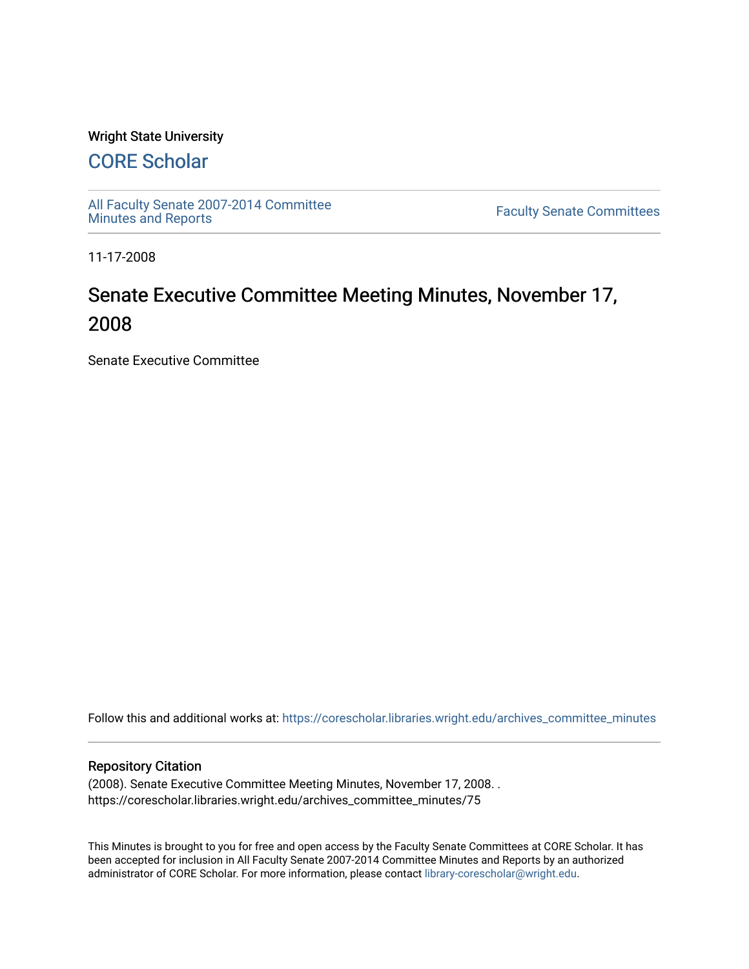# Wright State University

# [CORE Scholar](https://corescholar.libraries.wright.edu/)

[All Faculty Senate 2007-2014 Committee](https://corescholar.libraries.wright.edu/archives_committee_minutes)

**Faculty Senate Committees** 

11-17-2008

# Senate Executive Committee Meeting Minutes, November 17, 2008

Senate Executive Committee

Follow this and additional works at: [https://corescholar.libraries.wright.edu/archives\\_committee\\_minutes](https://corescholar.libraries.wright.edu/archives_committee_minutes?utm_source=corescholar.libraries.wright.edu%2Farchives_committee_minutes%2F75&utm_medium=PDF&utm_campaign=PDFCoverPages) 

#### Repository Citation

(2008). Senate Executive Committee Meeting Minutes, November 17, 2008. . https://corescholar.libraries.wright.edu/archives\_committee\_minutes/75

This Minutes is brought to you for free and open access by the Faculty Senate Committees at CORE Scholar. It has been accepted for inclusion in All Faculty Senate 2007-2014 Committee Minutes and Reports by an authorized administrator of CORE Scholar. For more information, please contact [library-corescholar@wright.edu.](mailto:library-corescholar@wright.edu)